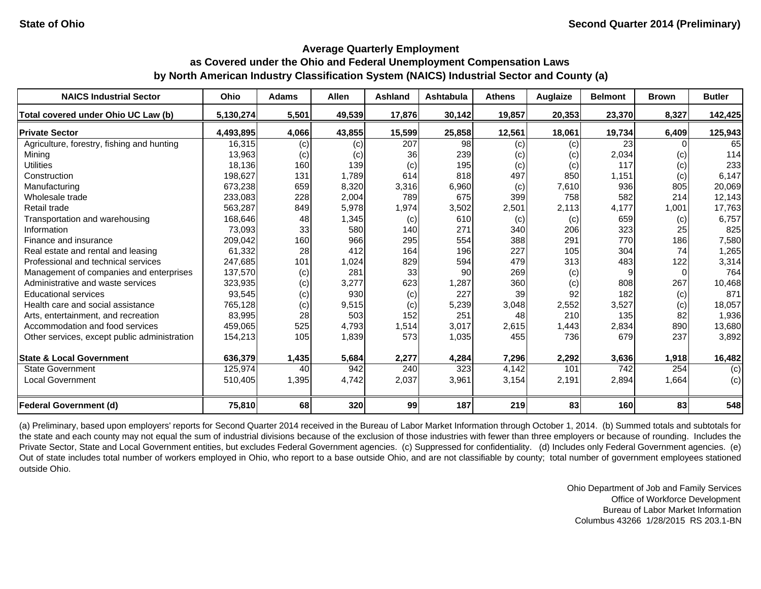#### **Average Quarterly Employment**

# **as Covered under the Ohio and Federal Unemployment Compensation Laws by North American Industry Classification System (NAICS) Industrial Sector and County (a)**

| <b>NAICS Industrial Sector</b>               | Ohio      | <b>Adams</b> | <b>Allen</b> | <b>Ashland</b> | Ashtabula | <b>Athens</b> | <b>Auglaize</b> | <b>Belmont</b> | <b>Brown</b> | <b>Butler</b> |
|----------------------------------------------|-----------|--------------|--------------|----------------|-----------|---------------|-----------------|----------------|--------------|---------------|
| Total covered under Ohio UC Law (b)          | 5,130,274 | 5,501        | 49.539       | 17.876         | 30.142    | 19,857        | 20,353          | 23,370         | 8,327        | 142,425       |
| <b>Private Sector</b>                        | 4,493,895 | 4,066        | 43,855       | 15,599         | 25,858    | 12,561        | 18,061          | 19,734         | 6,409        | 125,943       |
| Agriculture, forestry, fishing and hunting   | 16,315    | (c)          | (c)          | 207            | 98        | (c)           | (c)             | 23             |              | 65            |
| Mining                                       | 13,963    | (c)          | (c)          | 361            | 239       | (c)           | (c)             | 2,034          | (c)          | 114           |
| <b>Utilities</b>                             | 18,136    | 160          | 139          | (c)            | 195       | (c)           | (c)             | 117            | (c)          | 233           |
| Construction                                 | 198,627   | 131          | 1.789        | 614            | 818       | 497           | 850             | 1,151          | (c)          | 6,147         |
| Manufacturing                                | 673,238   | 659          | 8,320        | 3,316          | 6,960     | (c)           | 7,610           | 936            | 805          | 20,069        |
| Wholesale trade                              | 233,083   | 228          | 2,004        | 789            | 675       | 399           | 758             | 582            | 214          | 12,143        |
| Retail trade                                 | 563,287   | 849          | 5,978        | 1,974          | 3,502     | 2,501         | 2,113           | 4,177          | 1,001        | 17,763        |
| Transportation and warehousing               | 168,646   | 48           | 1,345        | (c)            | 610       | (c)           | (c)             | 659            | (c)          | 6,757         |
| Information                                  | 73,093    | 33           | 580          | 140            | 271       | 340           | 206             | 323            | 25           | 825           |
| Finance and insurance                        | 209,042   | 160          | 966          | 295            | 554       | 388           | 291             | 770            | 186          | 7,580         |
| Real estate and rental and leasing           | 61,332    | 28           | 412          | 164            | 196       | 227           | 105             | 304            | 74           | 1,265         |
| Professional and technical services          | 247,685   | 101          | 1,024        | 829            | 594       | 479           | 313             | 483            | 122          | 3,314         |
| Management of companies and enterprises      | 137,570   | (c)          | 281          | 33             | 90        | 269           | (c)             | 9              |              | 764           |
| Administrative and waste services            | 323,935   | (c)          | 3,277        | 623            | 1,287     | 360           | (c)             | 808            | 267          | 10,468        |
| <b>Educational services</b>                  | 93,545    | (c)          | 930          | (c)            | 227       | 39            | 92              | 182            | (c)          | 871           |
| Health care and social assistance            | 765,128   | (c)          | 9,515        | (c)            | 5,239     | 3,048         | 2,552           | 3,527          | (c)          | 18,057        |
| Arts, entertainment, and recreation          | 83,995    | 28           | 503          | 152            | 251       | 48            | 210             | 135            | 82           | 1,936         |
| Accommodation and food services              | 459,065   | 525          | 4,793        | 1,514          | 3,017     | 2,615         | 1,443           | 2,834          | 890          | 13,680        |
| Other services, except public administration | 154,213   | 105          | 1,839        | 573            | 1,035     | 455           | 736             | 679            | 237          | 3,892         |
| <b>State &amp; Local Government</b>          | 636,379   | 1,435        | 5,684        | 2,277          | 4,284     | 7,296         | 2,292           | 3,636          | 1,918        | 16,482        |
| <b>State Government</b>                      | 125,974   | 40           | 942          | 240            | 323       | 4,142         | 101             | 742            | 254          | (c)           |
| <b>Local Government</b>                      | 510,405   | 1,395        | 4,742        | 2,037          | 3,961     | 3,154         | 2,191           | 2,894          | 1,664        | (c)           |
| <b>Federal Government (d)</b>                | 75,810    | 68           | 320          | 99             | 187       | 219           | 83              | <b>160</b>     | 83           | 548           |

(a) Preliminary, based upon employers' reports for Second Quarter 2014 received in the Bureau of Labor Market Information through October 1, 2014. (b) Summed totals and subtotals for the state and each county may not equal the sum of industrial divisions because of the exclusion of those industries with fewer than three employers or because of rounding. Includes the Private Sector, State and Local Government entities, but excludes Federal Government agencies. (c) Suppressed for confidentiality. (d) Includes only Federal Government agencies. (e) Out of state includes total number of workers employed in Ohio, who report to a base outside Ohio, and are not classifiable by county; total number of government employees stationed outside Ohio.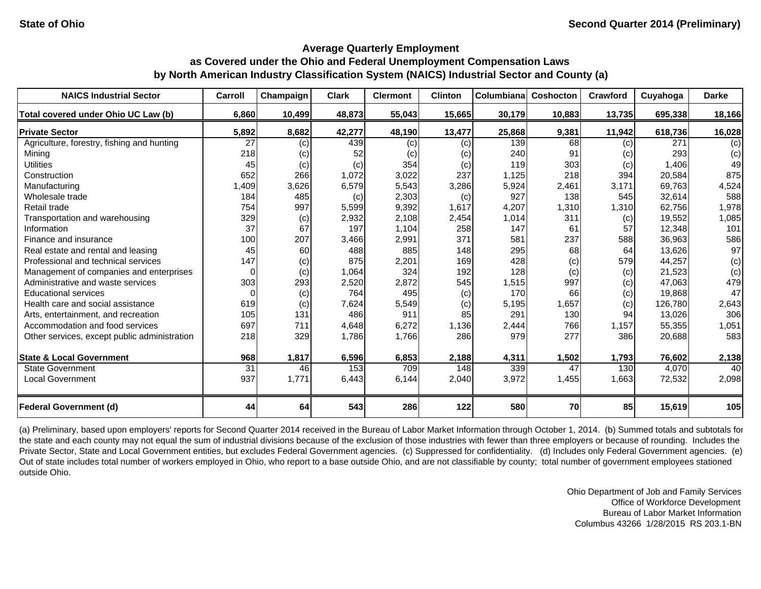| <b>NAICS Industrial Sector</b>               | Carroll  | Champaign | <b>Clark</b> | <b>Clermont</b> | <b>Clinton</b> | <b>Columbiana</b> | Coshocton | Crawford | Cuyahoga | <b>Darke</b> |
|----------------------------------------------|----------|-----------|--------------|-----------------|----------------|-------------------|-----------|----------|----------|--------------|
| Total covered under Ohio UC Law (b)          | 6,860    | 10,499    | 48,873       | 55,043          | 15,665         | 30,179            | 10,883    | 13,735   | 695,338  | 18,166       |
| <b>Private Sector</b>                        | 5,892    | 8,682     | 42,277       | 48,190          | 13,477         | 25,868            | 9,381     | 11,942   | 618,736  | 16,028       |
| Agriculture, forestry, fishing and hunting   | 27       | (c)       | 439          | (c)             | (c)            | 139               | 68        | (c)      | 271      | (c)          |
| Mining                                       | 218      | (c)       | 52           | (c)             | (c)            | 240               | 91        | (c)      | 293      | (c)          |
| <b>Utilities</b>                             | 45       | (c)       | (c)          | 354             | (c)            | 119               | 303       | (c)      | 1,406    | 49           |
| Construction                                 | 652      | 266       | 1,072        | 3,022           | 237            | 1,125             | 218       | 394      | 20,584   | 875          |
| Manufacturing                                | 1,409    | 3,626     | 6,579        | 5,543           | 3,286          | 5,924             | 2,461     | 3,171    | 69,763   | 4,524        |
| Wholesale trade                              | 184      | 485       | (c)          | 2,303           | (c)            | 927               | 138       | 545      | 32,614   | 588          |
| Retail trade                                 | 754      | 997       | 5,599        | 9,392           | 1,617          | 4,207             | 1,310     | 1,310    | 62.756   | 1,978        |
| Transportation and warehousing               | 329      | (c)       | 2,932        | 2,108           | 2,454          | 1,014             | 311       | (c)      | 19,552   | 1,085        |
| Information                                  | 37       | 67        | 197          | 1,104           | 258            | 147               | 61        | 57       | 12,348   | 101          |
| Finance and insurance                        | 100      | 207       | 3,466        | 2,991           | 371            | 581               | 237       | 588      | 36,963   | 586          |
| Real estate and rental and leasing           | 45       | 60        | 488          | 885             | 148            | 295               | 68        | 64       | 13,626   | 97           |
| Professional and technical services          | 147      | (c)       | 875          | 2,201           | 169            | 428               | (c)       | 579      | 44,257   | (c)          |
| Management of companies and enterprises      | $\Omega$ | (c)       | 1,064        | 324             | 192            | 128               | (c)       | (c)      | 21,523   | (c)          |
| Administrative and waste services            | 303      | 293       | 2,520        | 2.872           | 545            | 1,515             | 997       | (c)      | 47.063   | 479          |
| <b>Educational services</b>                  | $\Omega$ | (c)       | 764          | 495             | (c)            | 170               | 66        | (c)      | 19,868   | 47           |
| Health care and social assistance            | 619      | (c)       | 7,624        | 5,549           | (c)            | 5,195             | 1,657     | (c)      | 126,780  | 2,643        |
| Arts, entertainment, and recreation          | 105      | 131       | 486          | 911             | 85             | 291               | 130       | 94       | 13,026   | 306          |
| Accommodation and food services              | 697      | 711       | 4,648        | 6,272           | 1,136          | 2,444             | 766       | 1,157    | 55,355   | 1,051        |
| Other services, except public administration | 218      | 329       | 1,786        | 1,766           | 286            | 979               | 277       | 386      | 20,688   | 583          |
| <b>State &amp; Local Government</b>          | 968      | 1,817     | 6,596        | 6,853           | 2,188          | 4,311             | 1,502     | 1,793    | 76,602   | 2,138        |
| <b>State Government</b>                      | 31       | 46        | 153          | 709             | 148            | 339               | 47        | 130      | 4,070    | 40           |
| <b>Local Government</b>                      | 937      | 1,771     | 6,443        | 6,144           | 2,040          | 3,972             | 1,455     | 1,663    | 72,532   | 2,098        |
| <b>Federal Government (d)</b>                | 44       | 64        | 543          | 286             | 122            | 580               | 70        | 85       | 15,619   | 105          |

(a) Preliminary, based upon employers' reports for Second Quarter 2014 received in the Bureau of Labor Market Information through October 1, 2014. (b) Summed totals and subtotals for the state and each county may not equal the sum of industrial divisions because of the exclusion of those industries with fewer than three employers or because of rounding. Includes the Private Sector, State and Local Government entities, but excludes Federal Government agencies. (c) Suppressed for confidentiality. (d) Includes only Federal Government agencies. (e) Out of state includes total number of workers employed in Ohio, who report to a base outside Ohio, and are not classifiable by county; total number of government employees stationed outside Ohio.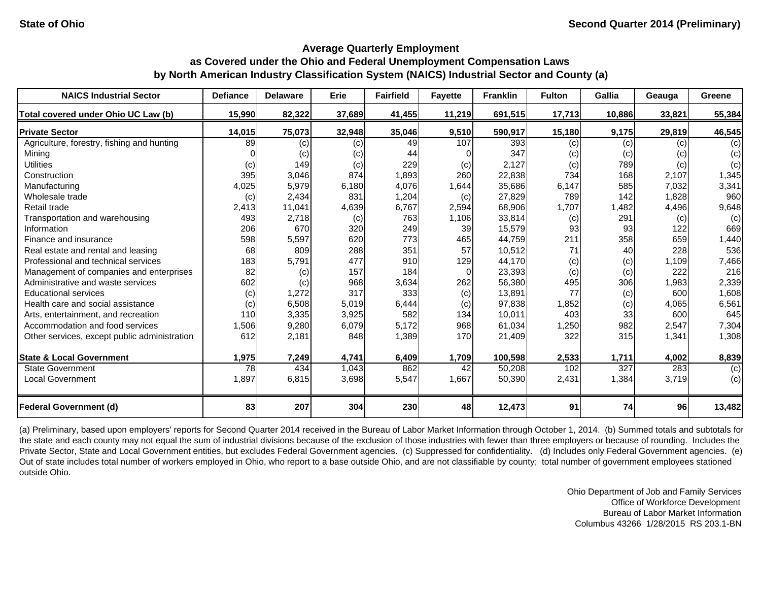| <b>NAICS Industrial Sector</b>               | <b>Defiance</b> | <b>Delaware</b> | Erie   | <b>Fairfield</b> | <b>Fayette</b> | <b>Franklin</b> | <b>Fulton</b> | <b>Gallia</b> | Geauga | Greene |
|----------------------------------------------|-----------------|-----------------|--------|------------------|----------------|-----------------|---------------|---------------|--------|--------|
| Total covered under Ohio UC Law (b)          | 15,990          | 82,322          | 37,689 | 41,455           | 11,219         | 691,515         | 17,713        | 10,886        | 33,821 | 55,384 |
| <b>Private Sector</b>                        | 14,015          | 75,073          | 32,948 | 35,046           | 9,510          | 590,917         | 15,180        | 9,175         | 29,819 | 46,545 |
| Agriculture, forestry, fishing and hunting   | 89              | (c)             | (c)    | 49               | 107            | 393             | (c)           | (c)           | (c)    | (c)    |
| Mining                                       |                 | (c)             | (c)    | 44               |                | 347             | (c)           | (c)           | (c)    | (c)    |
| <b>Utilities</b>                             | (c)             | 149             | (c)    | 229              | (c)            | 2,127           | (c)           | 789           | (c)    | (c)    |
| Construction                                 | 395             | 3,046           | 874    | 1,893            | 260            | 22,838          | 734           | 168           | 2,107  | 1,345  |
| Manufacturing                                | 4,025           | 5,979           | 6,180  | 4,076            | 1,644          | 35,686          | 6,147         | 585           | 7,032  | 3,341  |
| Wholesale trade                              | (c)             | 2,434           | 831    | 1,204            | (c)            | 27,829          | 789           | 142           | 1,828  | 960    |
| Retail trade                                 | 2,413           | 11,041          | 4,639  | 6,767            | 2,594          | 68,906          | 1,707         | 1,482         | 4,496  | 9,648  |
| Transportation and warehousing               | 493             | 2,718           | (c)    | 763              | 1,106          | 33,814          | (c)           | 291           | (c)    | (c)    |
| Information                                  | 206             | 670             | 320    | 249              | 39             | 15,579          | 93            | 93            | 122    | 669    |
| Finance and insurance                        | 598             | 5,597           | 620    | 773              | 465            | 44,759          | 211           | 358           | 659    | 1,440  |
| Real estate and rental and leasing           | 68              | 809             | 288    | 351              | 57             | 10,512          | 71            | 40            | 228    | 536    |
| Professional and technical services          | 183             | 5,791           | 477    | 910              | 129            | 44,170          | (c)           | (c)           | 1,109  | 7,466  |
| Management of companies and enterprises      | 82              | (c)             | 157    | 184              | $\Omega$       | 23,393          | (c)           | (c)           | 222    | 216    |
| Administrative and waste services            | 602             | (c)             | 968    | 3,634            | 262            | 56,380          | 495           | 306           | 1,983  | 2,339  |
| <b>Educational services</b>                  | (c)             | 1,272           | 317    | 333              | (c)            | 13,891          | 77            | (c)           | 600    | 1,608  |
| Health care and social assistance            | (c)             | 6,508           | 5,019  | 6,444            | (c)            | 97,838          | 1,852         | (c)           | 4,065  | 6,561  |
| Arts, entertainment, and recreation          | 110             | 3,335           | 3,925  | 582              | 134            | 10,011          | 403           | 33            | 600    | 645    |
| Accommodation and food services              | 1,506           | 9,280           | 6,079  | 5,172            | 968            | 61,034          | 1,250         | 982           | 2,547  | 7,304  |
| Other services, except public administration | 612             | 2,181           | 848    | 1,389            | 170            | 21,409          | 322           | 315           | 1,341  | 1,308  |
| <b>State &amp; Local Government</b>          | 1,975           | 7,249           | 4,741  | 6,409            | 1,709          | 100,598         | 2,533         | 1,711         | 4,002  | 8,839  |
| <b>State Government</b>                      | 78              | 434             | 1,043  | 862              | 42             | 50,208          | 102           | 327           | 283    | (c)    |
| <b>Local Government</b>                      | 1,897           | 6,815           | 3,698  | 5,547            | 1,667          | 50,390          | 2,431         | 1,384         | 3,719  | (c)    |
| <b>Federal Government (d)</b>                | 83              | 207             | 304    | 230              | 48             | 12,473          | 91            | 74            | 96     | 13,482 |

(a) Preliminary, based upon employers' reports for Second Quarter 2014 received in the Bureau of Labor Market Information through October 1, 2014. (b) Summed totals and subtotals for the state and each county may not equal the sum of industrial divisions because of the exclusion of those industries with fewer than three employers or because of rounding. Includes the Private Sector, State and Local Government entities, but excludes Federal Government agencies. (c) Suppressed for confidentiality. (d) Includes only Federal Government agencies. (e) Out of state includes total number of workers employed in Ohio, who report to a base outside Ohio, and are not classifiable by county; total number of government employees stationed outside Ohio.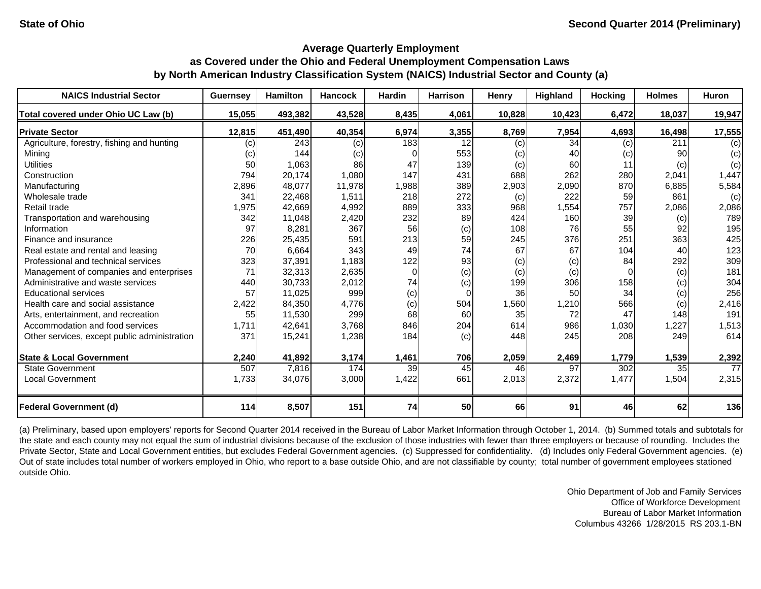| <b>NAICS Industrial Sector</b>               | <b>Guernsey</b> | <b>Hamilton</b> | <b>Hancock</b> | <b>Hardin</b>   | <b>Harrison</b> | Henry  | Highland | <b>Hocking</b> | <b>Holmes</b> | Huron  |
|----------------------------------------------|-----------------|-----------------|----------------|-----------------|-----------------|--------|----------|----------------|---------------|--------|
| Total covered under Ohio UC Law (b)          | 15,055          | 493,382         | 43,528         | 8,435           | 4,061           | 10,828 | 10,423   | 6,472          | 18,037        | 19,947 |
| <b>Private Sector</b>                        | 12,815          | 451,490         | 40,354         | 6,974           | 3,355           | 8,769  | 7,954    | 4,693          | 16,498        | 17,555 |
| Agriculture, forestry, fishing and hunting   | (c)             | 243             | (c)            | 183             | 12              | (c)    | 34       | (c)            | 211           | (c)    |
| Mining                                       | (c)             | 144             | (c)            |                 | 553             | (c)    | 40       | (c)            | 90            | (c)    |
| <b>Utilities</b>                             | 50              | 1,063           | 86             | 47              | 139             | (c)    | 60       | 11             | (c)           | (c)    |
| Construction                                 | 794             | 20,174          | 1,080          | 147             | 431             | 688    | 262      | 280            | 2,041         | 1,447  |
| Manufacturing                                | 2,896           | 48,077          | 11,978         | 1,988           | 389             | 2,903  | 2,090    | 870            | 6,885         | 5,584  |
| Wholesale trade                              | 341             | 22,468          | 1,511          | 218             | 272             | (c)    | 222      | 59             | 861           | (c)    |
| Retail trade                                 | 1,975           | 42,669          | 4,992          | 889             | 333             | 968    | 1,554    | 757            | 2,086         | 2,086  |
| Transportation and warehousing               | 342             | 11,048          | 2,420          | 232             | 89              | 424    | 160      | 39             | (c)           | 789    |
| Information                                  | 97              | 8,281           | 367            | 56              | (c)             | 108    | 76       | 55             | 92            | 195    |
| Finance and insurance                        | 226             | 25,435          | 591            | 213             | 59              | 245    | 376      | 251            | 363           | 425    |
| Real estate and rental and leasing           | 70              | 6,664           | 343            | 49              | 74              | 67     | 67       | 104            | 40            | 123    |
| Professional and technical services          | 323             | 37,391          | 1,183          | 122             | 93              | (c)    | (c)      | 84             | 292           | 309    |
| Management of companies and enterprises      | 71              | 32,313          | 2,635          | $\Omega$        | (c)             | (c)    | (c)      | $\Omega$       | (c)           | 181    |
| Administrative and waste services            | 440             | 30,733          | 2,012          | 74              | (c)             | 199    | 306      | 158            | (c)           | 304    |
| <b>Educational services</b>                  | 57              | 11,025          | 999            | (c)             | $\Omega$        | 36     | 50       | 34             | (c)           | 256    |
| Health care and social assistance            | 2,422           | 84,350          | 4,776          | (c)             | 504             | 1,560  | 1,210    | 566            | (c)           | 2,416  |
| Arts, entertainment, and recreation          | 55              | 11,530          | 299            | 68              | 60              | 35     | 72       | 47             | 148           | 191    |
| Accommodation and food services              | 1,711           | 42,641          | 3.768          | 846             | 204             | 614    | 986      | 1,030          | 1,227         | 1,513  |
| Other services, except public administration | 371             | 15,241          | 1,238          | 184             | (c)             | 448    | 245      | 208            | 249           | 614    |
| <b>State &amp; Local Government</b>          | 2,240           | 41,892          | 3,174          | 1,461           | 706             | 2,059  | 2,469    | 1,779          | 1,539         | 2,392  |
| <b>State Government</b>                      | 507             | 7,816           | 174            | 39 <sub>l</sub> | 45              | 46     | 97       | 302            | 35            | 77     |
| <b>Local Government</b>                      | 1,733           | 34,076          | 3,000          | 1,422           | 661             | 2,013  | 2,372    | 1,477          | 1,504         | 2,315  |
| <b>Federal Government (d)</b>                | 114             | 8,507           | 151            | 74              | 50              | 66     | 91       | 46             | 62            | 136    |

(a) Preliminary, based upon employers' reports for Second Quarter 2014 received in the Bureau of Labor Market Information through October 1, 2014. (b) Summed totals and subtotals for the state and each county may not equal the sum of industrial divisions because of the exclusion of those industries with fewer than three employers or because of rounding. Includes the Private Sector, State and Local Government entities, but excludes Federal Government agencies. (c) Suppressed for confidentiality. (d) Includes only Federal Government agencies. (e) Out of state includes total number of workers employed in Ohio, who report to a base outside Ohio, and are not classifiable by county; total number of government employees stationed outside Ohio.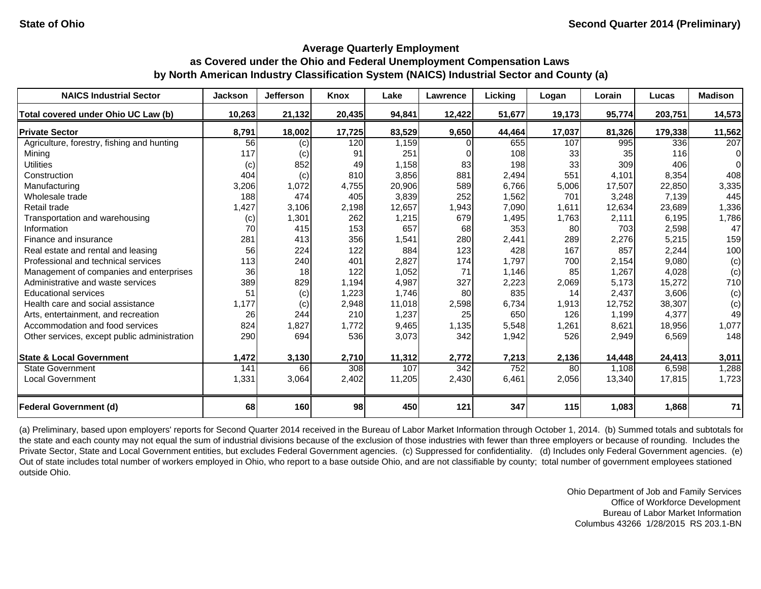| <b>NAICS Industrial Sector</b>               | <b>Jackson</b> | <b>Jefferson</b> | Knox   | Lake   | Lawrence | Lickina | Logan  | Lorain | Lucas   | <b>Madison</b> |
|----------------------------------------------|----------------|------------------|--------|--------|----------|---------|--------|--------|---------|----------------|
| Total covered under Ohio UC Law (b)          | 10,263         | 21,132           | 20,435 | 94,841 | 12,422   | 51,677  | 19,173 | 95,774 | 203,751 | 14,573         |
| <b>Private Sector</b>                        | 8,791          | 18,002           | 17,725 | 83,529 | 9,650    | 44,464  | 17,037 | 81,326 | 179,338 | 11,562         |
| Agriculture, forestry, fishing and hunting   | 56             | (c)              | 120    | 1,159  |          | 655     | 107    | 995    | 336     | 207            |
| Mining                                       | 117            | (c)              | 91     | 251    |          | 108     | 33     | 35     | 116     | $\Omega$       |
| <b>Utilities</b>                             | (c)            | 852              | 49     | 1,158  | 83       | 198     | 33     | 309    | 406     | $\Omega$       |
| Construction                                 | 404            | (c)              | 810    | 3,856  | 881      | 2,494   | 551    | 4,101  | 8,354   | 408            |
| Manufacturing                                | 3,206          | 1,072            | 4,755  | 20,906 | 589      | 6,766   | 5,006  | 17,507 | 22,850  | 3,335          |
| Wholesale trade                              | 188            | 474              | 405    | 3,839  | 252      | 1,562   | 701    | 3,248  | 7,139   | 445            |
| Retail trade                                 | 1,427          | 3,106            | 2,198  | 12,657 | 1,943    | 7,090   | 1,611  | 12,634 | 23,689  | 1,336          |
| Transportation and warehousing               | (c)            | 1,301            | 262    | 1,215  | 679      | 1,495   | 1,763  | 2,111  | 6,195   | 1,786          |
| Information                                  | 70             | 415              | 153    | 657    | 68       | 353     | 80     | 703    | 2,598   | 47             |
| Finance and insurance                        | 281            | 413              | 356    | 1,541  | 280      | 2,441   | 289    | 2,276  | 5,215   | 159            |
| Real estate and rental and leasing           | 56             | 224              | 122    | 884    | 123      | 428     | 167    | 857    | 2,244   | 100            |
| Professional and technical services          | 113            | 240              | 401    | 2,827  | 174      | 1,797   | 700    | 2,154  | 9,080   | (c)            |
| Management of companies and enterprises      | 36             | 18               | 122    | 1,052  | 71       | 1,146   | 85     | 1,267  | 4,028   | (c)            |
| Administrative and waste services            | 389            | 829              | 1,194  | 4,987  | 327      | 2,223   | 2,069  | 5,173  | 15,272  | 710            |
| <b>Educational services</b>                  | 51             | (c)              | 1,223  | 1,746  | 80       | 835     | 14     | 2,437  | 3,606   | (c)            |
| Health care and social assistance            | 1,177          | (c)              | 2,948  | 11,018 | 2,598    | 6,734   | 1,913  | 12,752 | 38,307  | (c)            |
| Arts, entertainment, and recreation          | 26             | 244              | 210    | 1,237  | 25       | 650     | 126    | 1,199  | 4,377   | 49             |
| Accommodation and food services              | 824            | 1,827            | 1,772  | 9,465  | 1,135    | 5,548   | 1,261  | 8,621  | 18,956  | 1,077          |
| Other services, except public administration | 290            | 694              | 536    | 3,073  | 342      | 1,942   | 526    | 2,949  | 6,569   | 148            |
| <b>State &amp; Local Government</b>          | 1,472          | 3,130            | 2,710  | 11,312 | 2,772    | 7,213   | 2,136  | 14,448 | 24,413  | 3,011          |
| <b>State Government</b>                      | 141            | 66               | 308    | 107    | 342      | 752     | 80     | 1,108  | 6,598   | 1,288          |
| <b>Local Government</b>                      | 1,331          | 3,064            | 2,402  | 11,205 | 2,430    | 6,461   | 2,056  | 13,340 | 17,815  | 1,723          |
| <b>Federal Government (d)</b>                | 68             | 160              | 98     | 450    | 121      | 347     | 115    | 1,083  | 1,868   | 71             |

(a) Preliminary, based upon employers' reports for Second Quarter 2014 received in the Bureau of Labor Market Information through October 1, 2014. (b) Summed totals and subtotals for the state and each county may not equal the sum of industrial divisions because of the exclusion of those industries with fewer than three employers or because of rounding. Includes the Private Sector, State and Local Government entities, but excludes Federal Government agencies. (c) Suppressed for confidentiality. (d) Includes only Federal Government agencies. (e) Out of state includes total number of workers employed in Ohio, who report to a base outside Ohio, and are not classifiable by county; total number of government employees stationed outside Ohio.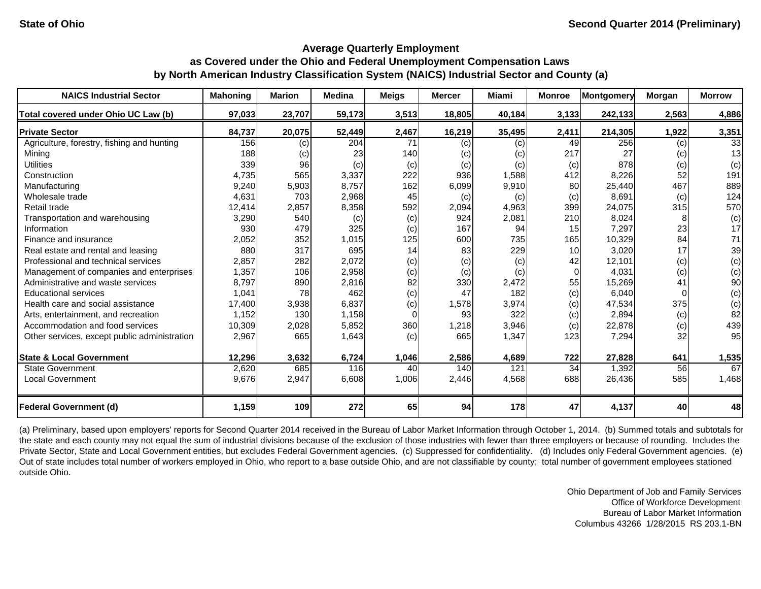| <b>NAICS Industrial Sector</b>               | <b>Mahoning</b> | <b>Marion</b> | <b>Medina</b> | <b>Meigs</b> | <b>Mercer</b> | Miami  | <b>Monroe</b> | <b>Montgomery</b> | Morgan | <b>Morrow</b> |
|----------------------------------------------|-----------------|---------------|---------------|--------------|---------------|--------|---------------|-------------------|--------|---------------|
| Total covered under Ohio UC Law (b)          | 97,033          | 23,707        | 59,173        | 3,513        | 18,805        | 40,184 | 3,133         | 242,133           | 2,563  | 4,886         |
| <b>Private Sector</b>                        | 84,737          | 20,075        | 52,449        | 2,467        | 16,219        | 35,495 | 2,411         | 214,305           | 1,922  | 3,351         |
| Agriculture, forestry, fishing and hunting   | 156             | (c)           | 204           | 71           | (c)           | (c)    | 49            | 256               | (c)    | 33            |
| Mining                                       | 188             | (c)           | 23            | 140          | (c)           | (c)    | 217           | 27                | (c)    | 13            |
| <b>Utilities</b>                             | 339             | 96            | (c)           | (c)          | (c)           | (c)    | (c)           | 878               | (c)    | (c)           |
| Construction                                 | 4,735           | 565           | 3,337         | 222          | 936           | 1,588  | 412           | 8,226             | 52     | 191           |
| Manufacturing                                | 9,240           | 5,903         | 8,757         | 162          | 6,099         | 9,910  | 80            | 25,440            | 467    | 889           |
| Wholesale trade                              | 4,631           | 703           | 2,968         | 45           | (c)           | (c)    | (c)           | 8,691             | (c)    | 124           |
| Retail trade                                 | 12,414          | 2,857         | 8,358         | 592          | 2,094         | 4,963  | 399           | 24,075            | 315    | 570           |
| Transportation and warehousing               | 3,290           | 540           | (c)           | (c)          | 924           | 2,081  | 210           | 8,024             |        | (c)           |
| Information                                  | 930             | 479           | 325           | (c)          | 167           | 94     | 15            | 7,297             | 23     | 17            |
| Finance and insurance                        | 2,052           | 352           | 1,015         | 125          | 600           | 735    | 165           | 10,329            | 84     | 71            |
| Real estate and rental and leasing           | 880             | 317           | 695           | 14           | 83            | 229    | 10            | 3,020             | 17     | 39            |
| Professional and technical services          | 2,857           | 282           | 2,072         | (c)          | (c)           | (c)    | 42            | 12,101            | (c)    | (c)           |
| Management of companies and enterprises      | 1,357           | 106           | 2,958         | (c)          | (c)           | (c)    | $\Omega$      | 4,031             | (c)    | (c)           |
| Administrative and waste services            | 8,797           | 890           | 2,816         | 82           | 330           | 2,472  | 55            | 15,269            | 41     | 90            |
| <b>Educational services</b>                  | 1,041           | 78            | 462           | (c)          | 47            | 182    | (c)           | 6.040             |        | (c)           |
| Health care and social assistance            | 17,400          | 3,938         | 6,837         | (c)          | 1,578         | 3,974  | (c)           | 47,534            | 375    | (c)           |
| Arts, entertainment, and recreation          | 1,152           | 130           | 1,158         | $\Omega$     | 93            | 322    | (c)           | 2,894             | (c)    | 82            |
| Accommodation and food services              | 10,309          | 2,028         | 5,852         | 360          | 1,218         | 3,946  | (c)           | 22,878            | (c)    | 439           |
| Other services, except public administration | 2,967           | 665           | 1,643         | (c)          | 665           | 1,347  | 123           | 7,294             | 32     | 95            |
| <b>State &amp; Local Government</b>          | 12,296          | 3,632         | 6,724         | 1,046        | 2,586         | 4,689  | 722           | 27,828            | 641    | 1,535         |
| <b>State Government</b>                      | 2,620           | 685           | 116           | 40           | 140           | 121    | 34            | 1,392             | 56     | 67            |
| <b>Local Government</b>                      | 9,676           | 2,947         | 6,608         | 1,006        | 2,446         | 4,568  | 688           | 26,436            | 585    | 1,468         |
| <b>Federal Government (d)</b>                | 1,159           | 109           | 272           | 65           | 94            | 178    | 47            | 4,137             | 40     | 48            |

(a) Preliminary, based upon employers' reports for Second Quarter 2014 received in the Bureau of Labor Market Information through October 1, 2014. (b) Summed totals and subtotals for the state and each county may not equal the sum of industrial divisions because of the exclusion of those industries with fewer than three employers or because of rounding. Includes the Private Sector, State and Local Government entities, but excludes Federal Government agencies. (c) Suppressed for confidentiality. (d) Includes only Federal Government agencies. (e) Out of state includes total number of workers employed in Ohio, who report to a base outside Ohio, and are not classifiable by county; total number of government employees stationed outside Ohio.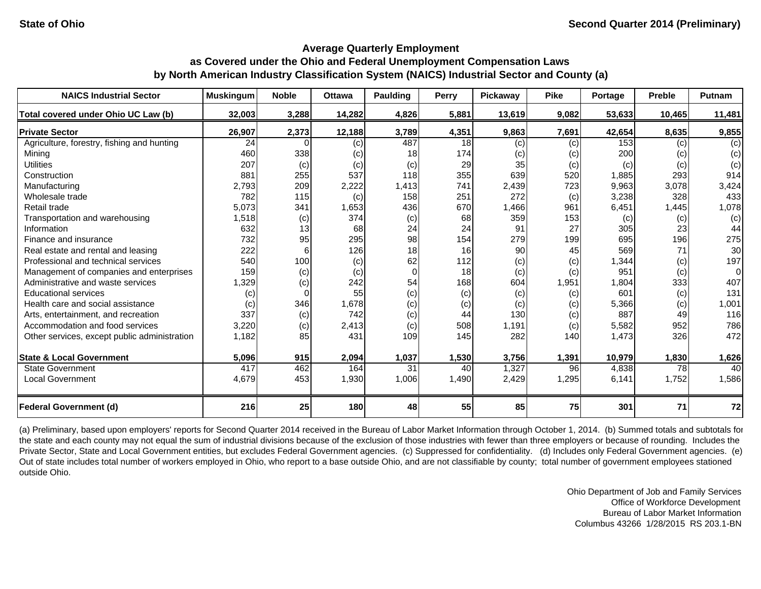| <b>NAICS Industrial Sector</b>               | <b>Muskingum</b> | <b>Noble</b> | <b>Ottawa</b> | <b>Paulding</b> | Perry | Pickaway | <b>Pike</b> | Portage | <b>Preble</b> | <b>Putnam</b> |
|----------------------------------------------|------------------|--------------|---------------|-----------------|-------|----------|-------------|---------|---------------|---------------|
| Total covered under Ohio UC Law (b)          | 32,003           | 3,288        | 14,282        | 4,826           | 5,881 | 13,619   | 9,082       | 53,633  | 10,465        | 11,481        |
| <b>Private Sector</b>                        | 26,907           | 2,373        | 12,188        | 3,789           | 4,351 | 9,863    | 7,691       | 42,654  | 8,635         | 9,855         |
| Agriculture, forestry, fishing and hunting   | 24               |              | (c)           | 487             | 18    | (c)      | (c)         | 153     | (c)           | (c)           |
| Mining                                       | 460              | 338          | (c)           | 18              | 174   | (c)      | (c)         | 200     | (c)           | (c)           |
| <b>Utilities</b>                             | 207              | (c)          | (c)           | (c)             | 29    | 35       | (c)         | (c)     | (c)           | (c)           |
| Construction                                 | 881              | 255          | 537           | 118             | 355   | 639      | 520         | 1,885   | 293           | 914           |
| Manufacturing                                | 2,793            | 209          | 2,222         | 1,413           | 741   | 2,439    | 723         | 9,963   | 3,078         | 3,424         |
| Wholesale trade                              | 782              | 115          | (c)           | 158             | 251   | 272      | (c)         | 3,238   | 328           | 433           |
| Retail trade                                 | 5,073            | 341          | 1,653         | 436             | 670   | 1,466    | 961         | 6,451   | 1,445         | 1,078         |
| Transportation and warehousing               | 1,518            | (c)          | 374           | (c)             | 68    | 359      | 153         | (c)     | (c)           | (c)           |
| Information                                  | 632              | 13           | 68            | 24              | 24    | 91       | 27          | 305     | 23            | 44            |
| Finance and insurance                        | 732              | 95           | 295           | 98              | 154   | 279      | 199         | 695     | 196           | 275           |
| Real estate and rental and leasing           | 222              |              | 126           | 18              | 16    | 90       | 45          | 569     | 71            | 30            |
| Professional and technical services          | 540              | 100          | (c)           | 62              | 112   | (c)      | (c)         | 1,344   | (c)           | 197           |
| Management of companies and enterprises      | 159              | (c)          | (c)           | $\Omega$        | 18    | (c)      | (c)         | 951     | (c)           | 0             |
| Administrative and waste services            | 1,329            | (c)          | 242           | 54              | 168   | 604      | 1,951       | 1,804   | 333           | 407           |
| <b>Educational services</b>                  | (c)              |              | 55            | (c)             | (c)   | (c)      | (c)         | 601     | (c)           | 131           |
| Health care and social assistance            | (c)              | 346          | 1,678         | (c)             | (c)   | (c)      | (c)         | 5,366   | (c)           | 1,001         |
| Arts, entertainment, and recreation          | 337              | (c)          | 742           | (c)             | 44    | 130      | (c)         | 887     | 49            | 116           |
| Accommodation and food services              | 3,220            | (c)          | 2,413         | (c)             | 508   | 1,191    | (c)         | 5,582   | 952           | 786           |
| Other services, except public administration | 1,182            | 85           | 431           | 109             | 145   | 282      | 140         | 1,473   | 326           | 472           |
| <b>State &amp; Local Government</b>          | 5,096            | 915          | 2,094         | 1,037           | 1,530 | 3,756    | 1,391       | 10,979  | 1,830         | 1,626         |
| <b>State Government</b>                      | 417              | 462          | 164           | 31              | 40    | 1,327    | 96          | 4,838   | 78            | 40            |
| <b>Local Government</b>                      | 4,679            | 453          | 1,930         | 1,006           | 1,490 | 2,429    | 1,295       | 6,141   | 1,752         | 1,586         |
| <b>Federal Government (d)</b>                | 216              | 25           | 180           | 48              | 55    | 85       | 75          | 301     | 71            | 72            |

(a) Preliminary, based upon employers' reports for Second Quarter 2014 received in the Bureau of Labor Market Information through October 1, 2014. (b) Summed totals and subtotals for the state and each county may not equal the sum of industrial divisions because of the exclusion of those industries with fewer than three employers or because of rounding. Includes the Private Sector, State and Local Government entities, but excludes Federal Government agencies. (c) Suppressed for confidentiality. (d) Includes only Federal Government agencies. (e) Out of state includes total number of workers employed in Ohio, who report to a base outside Ohio, and are not classifiable by county; total number of government employees stationed outside Ohio.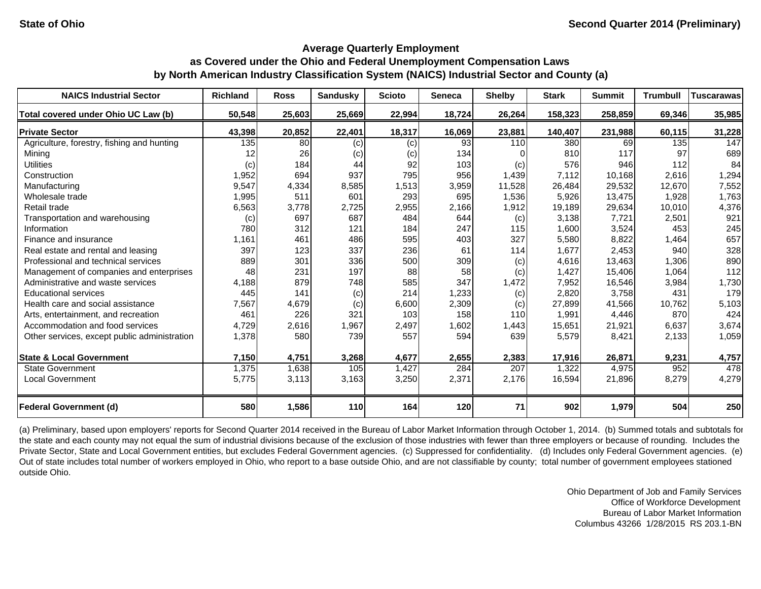| <b>NAICS Industrial Sector</b>               | <b>Richland</b> | <b>Ross</b> | <b>Sandusky</b> | <b>Scioto</b> | Seneca | <b>Shelby</b> | <b>Stark</b> | <b>Summit</b> | <b>Trumbull</b> | <b>Tuscarawas</b> |
|----------------------------------------------|-----------------|-------------|-----------------|---------------|--------|---------------|--------------|---------------|-----------------|-------------------|
| Total covered under Ohio UC Law (b)          | 50,548          | 25,603      | 25,669          | 22,994        | 18,724 | 26,264        | 158,323      | 258,859       | 69,346          | 35,985            |
| <b>Private Sector</b>                        | 43,398          | 20,852      | 22,401          | 18,317        | 16,069 | 23,881        | 140,407      | 231,988       | 60,115          | 31,228            |
| Agriculture, forestry, fishing and hunting   | 135             | 80l         | (c)             | (c)           | 93     | 110           | 380          | 69I           | 135             | 147               |
| Mining                                       | 12              | 26          | (c)             | (c)           | 134    |               | 810          | 117           | 97              | 689               |
| <b>Utilities</b>                             | (c)             | 184         | 44              | 92            | 103    | (c)           | 576          | 946           | 112             | 84                |
| Construction                                 | 1,952           | 694         | 937             | 795           | 956    | 1,439         | 7,112        | 10,168        | 2,616           | 1,294             |
| Manufacturing                                | 9,547           | 4,334       | 8,585           | 1,513         | 3,959  | 11,528        | 26,484       | 29,532        | 12,670          | 7,552             |
| Wholesale trade                              | 1,995           | 511         | 601             | 293           | 695    | 1,536         | 5,926        | 13,475        | 1,928           | 1,763             |
| Retail trade                                 | 6,563           | 3,778       | 2,725           | 2,955         | 2,166  | 1,912         | 19,189       | 29,634        | 10,010          | 4,376             |
| Transportation and warehousing               | (c)             | 697         | 687             | 484           | 644    | (c)           | 3,138        | 7,721         | 2,501           | 921               |
| Information                                  | 780             | 312         | 121             | 184           | 247    | 115           | 1,600        | 3,524         | 453             | 245               |
| Finance and insurance                        | 1,161           | 461         | 486             | 595           | 403    | 327           | 5,580        | 8,822         | 1,464           | 657               |
| Real estate and rental and leasing           | 397             | 123         | 337             | 236           | 61     | 114           | 1,677        | 2,453         | 940             | 328               |
| Professional and technical services          | 889             | 301         | 336             | 500           | 309    | (c)           | 4,616        | 13,463        | 1,306           | 890               |
| Management of companies and enterprises      | 48              | 231         | 197             | 88            | 58     | (c)           | 1,427        | 15,406        | 1,064           | 112               |
| Administrative and waste services            | 4,188           | 879         | 748             | 585           | 347    | 1,472         | 7,952        | 16,546        | 3,984           | 1,730             |
| <b>Educational services</b>                  | 445             | 141         | (c)             | 214           | 1,233  | (c)           | 2,820        | 3.758         | 431             | 179               |
| Health care and social assistance            | 7,567           | 4,679       | (c)             | 6,600         | 2,309  | (c)           | 27,899       | 41,566        | 10,762          | 5,103             |
| Arts, entertainment, and recreation          | 461             | 226         | 321             | 103           | 158    | 110           | 1,991        | 4,446         | 870             | 424               |
| Accommodation and food services              | 4,729           | 2,616       | 1,967           | 2,497         | 1,602  | 1,443         | 15,651       | 21,921        | 6,637           | 3,674             |
| Other services, except public administration | 1,378           | 580         | 739             | 557           | 594    | 639           | 5,579        | 8,421         | 2,133           | 1,059             |
| <b>State &amp; Local Government</b>          | 7,150           | 4,751       | 3,268           | 4,677         | 2,655  | 2,383         | 17,916       | 26,871        | 9,231           | 4,757             |
| <b>State Government</b>                      | 1,375           | 1,638       | 105             | 1,427         | 284    | 207           | 1,322        | 4,975         | 952             | 478               |
| <b>Local Government</b>                      | 5,775           | 3,113       | 3,163           | 3,250         | 2,371  | 2,176         | 16,594       | 21,896        | 8,279           | 4,279             |
| <b>Federal Government (d)</b>                | <b>580</b>      | 1,586       | 110             | 164           | 120    | 71            | 902          | 1,979         | 504             | 250               |

(a) Preliminary, based upon employers' reports for Second Quarter 2014 received in the Bureau of Labor Market Information through October 1, 2014. (b) Summed totals and subtotals for the state and each county may not equal the sum of industrial divisions because of the exclusion of those industries with fewer than three employers or because of rounding. Includes the Private Sector, State and Local Government entities, but excludes Federal Government agencies. (c) Suppressed for confidentiality. (d) Includes only Federal Government agencies. (e) Out of state includes total number of workers employed in Ohio, who report to a base outside Ohio, and are not classifiable by county; total number of government employees stationed outside Ohio.